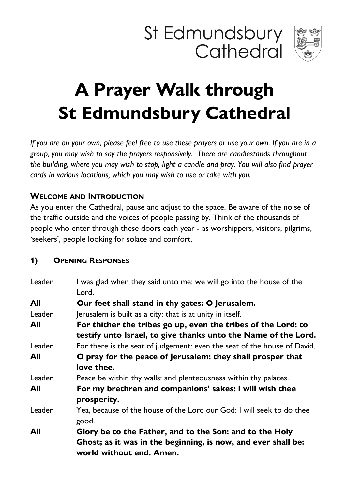



# **A Prayer Walk through St Edmundsbury Cathedral**

*If you are on your own, please feel free to use these prayers or use your own. If you are in a group, you may wish to say the prayers responsively. There are candlestands throughout the building, where you may wish to stop, light a candle and pray. You will also find prayer cards in various locations, which you may wish to use or take with you.*

## **WELCOME AND INTRODUCTION**

As you enter the Cathedral, pause and adjust to the space. Be aware of the noise of the traffic outside and the voices of people passing by. Think of the thousands of people who enter through these doors each year - as worshippers, visitors, pilgrims, 'seekers', people looking for solace and comfort.

#### **1) OPENING RESPONSES**

| Leader | I was glad when they said unto me: we will go into the house of the      |
|--------|--------------------------------------------------------------------------|
|        | Lord.                                                                    |
| All    | Our feet shall stand in thy gates: O Jerusalem.                          |
| Leader | Jerusalem is built as a city: that is at unity in itself.                |
| All    | For thither the tribes go up, even the tribes of the Lord: to            |
|        | testify unto Israel, to give thanks unto the Name of the Lord.           |
| Leader | For there is the seat of judgement: even the seat of the house of David. |
| All    | O pray for the peace of Jerusalem: they shall prosper that               |
|        | love thee.                                                               |
| Leader | Peace be within thy walls: and plenteousness within thy palaces.         |
| All    | For my brethren and companions' sakes: I will wish thee                  |
|        | prosperity.                                                              |
| Leader | Yea, because of the house of the Lord our God: I will seek to do thee    |
|        | good.                                                                    |
| All    | Glory be to the Father, and to the Son: and to the Holy                  |
|        | Ghost; as it was in the beginning, is now, and ever shall be:            |
|        | world without end. Amen.                                                 |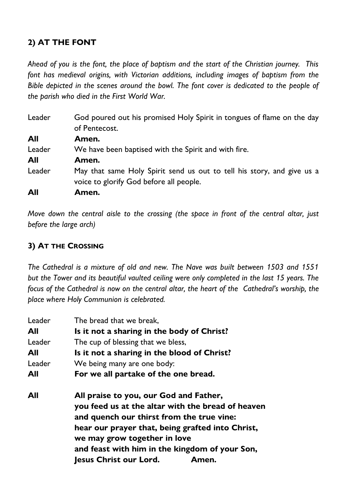# **2) AT THE FONT**

*Ahead of you is the font, the place of baptism and the start of the Christian journey. This*  font has medieval origins, with Victorian additions, including images of baptism from the *Bible depicted in the scenes around the bowl. The font cover is dedicated to the people of the parish who died in the First World War.*

| Leader | God poured out his promised Holy Spirit in tongues of flame on the day<br>of Pentecost.                           |
|--------|-------------------------------------------------------------------------------------------------------------------|
| All    | Amen.                                                                                                             |
| Leader | We have been baptised with the Spirit and with fire.                                                              |
| All    | Amen.                                                                                                             |
| Leader | May that same Holy Spirit send us out to tell his story, and give us a<br>voice to glorify God before all people. |
| All    | Amen.                                                                                                             |

*Move down the central aisle to the crossing (the space in front of the central altar, just before the large arch)* 

### **3) AT THE CROSSING**

*The Cathedral is a mixture of old and new. The Nave was built between 1503 and 1551 but the Tower and its beautiful vaulted ceiling were only completed in the last 15 years. The focus of the Cathedral is now on the central altar, the heart of the Cathedral's worship, the place where Holy Communion is celebrated.*

| Leader | The bread that we break,                          |
|--------|---------------------------------------------------|
| All    | Is it not a sharing in the body of Christ?        |
| Leader | The cup of blessing that we bless,                |
| All    | Is it not a sharing in the blood of Christ?       |
| Leader | We being many are one body:                       |
| All    | For we all partake of the one bread.              |
| All    | All praise to you, our God and Father,            |
|        | you feed us at the altar with the bread of heaven |
|        | and quench our thirst from the true vine:         |
|        | hear our prayer that, being grafted into Christ,  |
|        | we may grow together in love                      |
|        | and feast with him in the kingdom of your Son,    |
|        | <b>Jesus Christ our Lord.</b><br>Amen.            |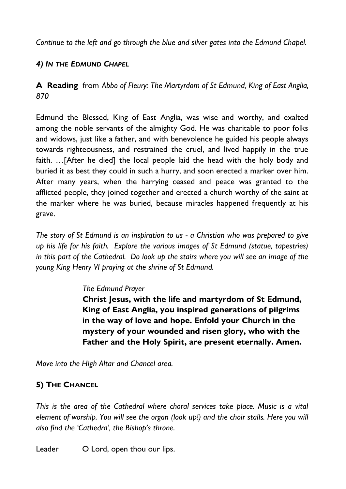*Continue to the left and go through the blue and silver gates into the Edmund Chapel.*

# *4) IN THE EDMUND CHAPEL*

**A Reading** from *Abbo of Fleury: The Martyrdom of St Edmund, King of East Anglia, 870*

Edmund the Blessed, King of East Anglia, was wise and worthy, and exalted among the noble servants of the almighty God. He was charitable to poor folks and widows, just like a father, and with benevolence he guided his people always towards righteousness, and restrained the cruel, and lived happily in the true faith. …[After he died] the local people laid the head with the holy body and buried it as best they could in such a hurry, and soon erected a marker over him. After many years, when the harrying ceased and peace was granted to the afflicted people, they joined together and erected a church worthy of the saint at the marker where he was buried, because miracles happened frequently at his grave.

*The story of St Edmund is an inspiration to us - a Christian who was prepared to give up his life for his faith. Explore the various images of St Edmund (statue, tapestries) in this part of the Cathedral. Do look up the stairs where you will see an image of the young King Henry VI praying at the shrine of St Edmund.*

#### *The Edmund Prayer*

**Christ Jesus, with the life and martyrdom of St Edmund, King of East Anglia, you inspired generations of pilgrims in the way of love and hope. Enfold your Church in the mystery of your wounded and risen glory, who with the Father and the Holy Spirit, are present eternally. Amen.**

*Move into the High Altar and Chancel area.* 

# **5) THE CHANCEL**

*This is the area of the Cathedral where choral services take place. Music is a vital element of worship. You will see the organ (look up!) and the choir stalls. Here you will also find the 'Cathedra', the Bishop's throne.* 

Leader O Lord, open thou our lips.